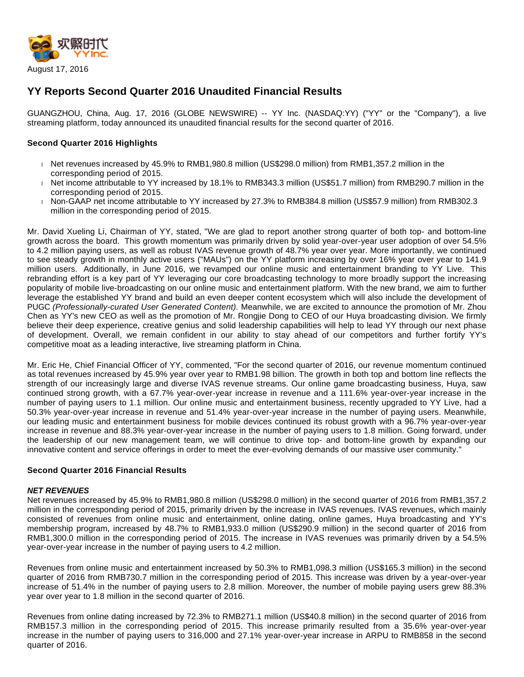

# **YY Reports Second Quarter 2016 Unaudited Financial Results**

GUANGZHOU, China, Aug. 17, 2016 (GLOBE NEWSWIRE) -- YY Inc. (NASDAQ:YY) ("YY" or the "Company"), a live streaming platform, today announced its unaudited financial results for the second quarter of 2016.

# **Second Quarter 2016 Highlights**

- Net revenues increased by 45.9% to RMB1,980.8 million (US\$298.0 million) from RMB1,357.2 million in the corresponding period of 2015.
- Net income attributable to YY increased by 18.1% to RMB343.3 million (US\$51.7 million) from RMB290.7 million in the corresponding period of 2015.
- Non-GAAP net income attributable to YY increased by 27.3% to RMB384.8 million (US\$57.9 million) from RMB302.3 million in the corresponding period of 2015.

Mr. David Xueling Li, Chairman of YY, stated, "We are glad to report another strong quarter of both top- and bottom-line growth across the board. This growth momentum was primarily driven by solid year-over-year user adoption of over 54.5% to 4.2 million paying users, as well as robust IVAS revenue growth of 48.7% year over year. More importantly, we continued to see steady growth in monthly active users ("MAUs") on the YY platform increasing by over 16% year over year to 141.9 million users. Additionally, in June 2016, we revamped our online music and entertainment branding to YY Live. This rebranding effort is a key part of YY leveraging our core broadcasting technology to more broadly support the increasing popularity of mobile live-broadcasting on our online music and entertainment platform. With the new brand, we aim to further leverage the established YY brand and build an even deeper content ecosystem which will also include the development of PUGC (Professionally-curated User Generated Content). Meanwhile, we are excited to announce the promotion of Mr. Zhou Chen as YY's new CEO as well as the promotion of Mr. Rongjie Dong to CEO of our Huya broadcasting division. We firmly believe their deep experience, creative genius and solid leadership capabilities will help to lead YY through our next phase of development. Overall, we remain confident in our ability to stay ahead of our competitors and further fortify YY's competitive moat as a leading interactive, live streaming platform in China.

Mr. Eric He, Chief Financial Officer of YY, commented, "For the second quarter of 2016, our revenue momentum continued as total revenues increased by 45.9% year over year to RMB1.98 billion. The growth in both top and bottom line reflects the strength of our increasingly large and diverse IVAS revenue streams. Our online game broadcasting business, Huya, saw continued strong growth, with a 67.7% year-over-year increase in revenue and a 111.6% year-over-year increase in the number of paying users to 1.1 million. Our online music and entertainment business, recently upgraded to YY Live, had a 50.3% year-over-year increase in revenue and 51.4% year-over-year increase in the number of paying users. Meanwhile, our leading music and entertainment business for mobile devices continued its robust growth with a 96.7% year-over-year increase in revenue and 88.3% year-over-year increase in the number of paying users to 1.8 million. Going forward, under the leadership of our new management team, we will continue to drive top- and bottom-line growth by expanding our innovative content and service offerings in order to meet the ever-evolving demands of our massive user community."

# **Second Quarter 2016 Financial Results**

#### **NET REVENUES**

Net revenues increased by 45.9% to RMB1,980.8 million (US\$298.0 million) in the second quarter of 2016 from RMB1,357.2 million in the corresponding period of 2015, primarily driven by the increase in IVAS revenues. IVAS revenues, which mainly consisted of revenues from online music and entertainment, online dating, online games, Huya broadcasting and YY's membership program, increased by 48.7% to RMB1,933.0 million (US\$290.9 million) in the second quarter of 2016 from RMB1,300.0 million in the corresponding period of 2015. The increase in IVAS revenues was primarily driven by a 54.5% year-over-year increase in the number of paying users to 4.2 million.

Revenues from online music and entertainment increased by 50.3% to RMB1,098.3 million (US\$165.3 million) in the second quarter of 2016 from RMB730.7 million in the corresponding period of 2015. This increase was driven by a year-over-year increase of 51.4% in the number of paying users to 2.8 million. Moreover, the number of mobile paying users grew 88.3% year over year to 1.8 million in the second quarter of 2016.

Revenues from online dating increased by 72.3% to RMB271.1 million (US\$40.8 million) in the second quarter of 2016 from RMB157.3 million in the corresponding period of 2015. This increase primarily resulted from a 35.6% year-over-year increase in the number of paying users to 316,000 and 27.1% year-over-year increase in ARPU to RMB858 in the second quarter of 2016.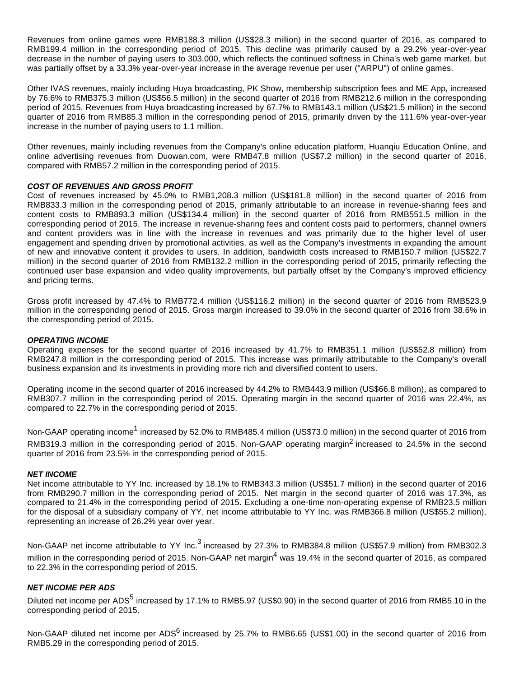Revenues from online games were RMB188.3 million (US\$28.3 million) in the second quarter of 2016, as compared to RMB199.4 million in the corresponding period of 2015. This decline was primarily caused by a 29.2% year-over-year decrease in the number of paying users to 303,000, which reflects the continued softness in China's web game market, but was partially offset by a 33.3% year-over-year increase in the average revenue per user ("ARPU") of online games.

Other IVAS revenues, mainly including Huya broadcasting, PK Show, membership subscription fees and ME App, increased by 76.6% to RMB375.3 million (US\$56.5 million) in the second quarter of 2016 from RMB212.6 million in the corresponding period of 2015. Revenues from Huya broadcasting increased by 67.7% to RMB143.1 million (US\$21.5 million) in the second quarter of 2016 from RMB85.3 million in the corresponding period of 2015, primarily driven by the 111.6% year-over-year increase in the number of paying users to 1.1 million.

Other revenues, mainly including revenues from the Company's online education platform, Huanqiu Education Online, and online advertising revenues from Duowan.com, were RMB47.8 million (US\$7.2 million) in the second quarter of 2016, compared with RMB57.2 million in the corresponding period of 2015.

# **COST OF REVENUES AND GROSS PROFIT**

Cost of revenues increased by 45.0% to RMB1,208.3 million (US\$181.8 million) in the second quarter of 2016 from RMB833.3 million in the corresponding period of 2015, primarily attributable to an increase in revenue-sharing fees and content costs to RMB893.3 million (US\$134.4 million) in the second quarter of 2016 from RMB551.5 million in the corresponding period of 2015. The increase in revenue-sharing fees and content costs paid to performers, channel owners and content providers was in line with the increase in revenues and was primarily due to the higher level of user engagement and spending driven by promotional activities, as well as the Company's investments in expanding the amount of new and innovative content it provides to users. In addition, bandwidth costs increased to RMB150.7 million (US\$22.7 million) in the second quarter of 2016 from RMB132.2 million in the corresponding period of 2015, primarily reflecting the continued user base expansion and video quality improvements, but partially offset by the Company's improved efficiency and pricing terms.

Gross profit increased by 47.4% to RMB772.4 million (US\$116.2 million) in the second quarter of 2016 from RMB523.9 million in the corresponding period of 2015. Gross margin increased to 39.0% in the second quarter of 2016 from 38.6% in the corresponding period of 2015.

## **OPERATING INCOME**

Operating expenses for the second quarter of 2016 increased by 41.7% to RMB351.1 million (US\$52.8 million) from RMB247.8 million in the corresponding period of 2015. This increase was primarily attributable to the Company's overall business expansion and its investments in providing more rich and diversified content to users.

Operating income in the second quarter of 2016 increased by 44.2% to RMB443.9 million (US\$66.8 million), as compared to RMB307.7 million in the corresponding period of 2015. Operating margin in the second quarter of 2016 was 22.4%, as compared to 22.7% in the corresponding period of 2015.

Non-GAAP operating income<sup>1</sup> increased by 52.0% to RMB485.4 million (US\$73.0 million) in the second quarter of 2016 from

RMB319.3 million in the corresponding period of 2015. Non-GAAP operating margin<sup>2</sup> increased to 24.5% in the second quarter of 2016 from 23.5% in the corresponding period of 2015.

#### **NET INCOME**

Net income attributable to YY Inc. increased by 18.1% to RMB343.3 million (US\$51.7 million) in the second quarter of 2016 from RMB290.7 million in the corresponding period of 2015. Net margin in the second quarter of 2016 was 17.3%, as compared to 21.4% in the corresponding period of 2015. Excluding a one-time non-operating expense of RMB23.5 million for the disposal of a subsidiary company of YY, net income attributable to YY Inc. was RMB366.8 million (US\$55.2 million), representing an increase of 26.2% year over year.

Non-GAAP net income attributable to YY Inc.<sup>3</sup> increased by 27.3% to RMB384.8 million (US\$57.9 million) from RMB302.3 million in the corresponding period of 2015. Non-GAAP net margin<sup>4</sup> was 19.4% in the second quarter of 2016, as compared to 22.3% in the corresponding period of 2015.

# **NET INCOME PER ADS**

Diluted net income per ADS $^5$  increased by 17.1% to RMB5.97 (US\$0.90) in the second quarter of 2016 from RMB5.10 in the corresponding period of 2015.

Non-GAAP diluted net income per ADS<sup>6</sup> increased by 25.7% to RMB6.65 (US\$1.00) in the second quarter of 2016 from RMB5.29 in the corresponding period of 2015.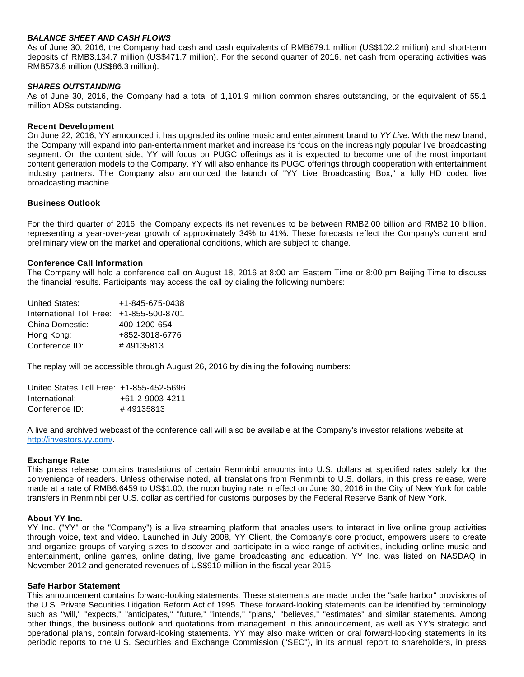# **BALANCE SHEET AND CASH FLOWS**

As of June 30, 2016, the Company had cash and cash equivalents of RMB679.1 million (US\$102.2 million) and short-term deposits of RMB3,134.7 million (US\$471.7 million). For the second quarter of 2016, net cash from operating activities was RMB573.8 million (US\$86.3 million).

### **SHARES OUTSTANDING**

As of June 30, 2016, the Company had a total of 1,101.9 million common shares outstanding, or the equivalent of 55.1 million ADSs outstanding.

### **Recent Development**

On June 22, 2016, YY announced it has upgraded its online music and entertainment brand to YY Live. With the new brand, the Company will expand into pan-entertainment market and increase its focus on the increasingly popular live broadcasting segment. On the content side, YY will focus on PUGC offerings as it is expected to become one of the most important content generation models to the Company. YY will also enhance its PUGC offerings through cooperation with entertainment industry partners. The Company also announced the launch of "YY Live Broadcasting Box," a fully HD codec live broadcasting machine.

# **Business Outlook**

For the third quarter of 2016, the Company expects its net revenues to be between RMB2.00 billion and RMB2.10 billion, representing a year-over-year growth of approximately 34% to 41%. These forecasts reflect the Company's current and preliminary view on the market and operational conditions, which are subject to change.

# **Conference Call Information**

The Company will hold a conference call on August 18, 2016 at 8:00 am Eastern Time or 8:00 pm Beijing Time to discuss the financial results. Participants may access the call by dialing the following numbers:

| <b>United States:</b>    | +1-845-675-0438 |
|--------------------------|-----------------|
| International Toll Free: | +1-855-500-8701 |
| China Domestic:          | 400-1200-654    |
| Hong Kong:               | +852-3018-6776  |
| Conference ID:           | #49135813       |

The replay will be accessible through August 26, 2016 by dialing the following numbers:

| United States Toll Free: +1-855-452-5696 |                 |
|------------------------------------------|-----------------|
| International:                           | +61-2-9003-4211 |
| Conference ID:                           | #49135813       |

A live and archived webcast of the conference call will also be available at the Company's investor relations website at [http://investors.yy.com/.](https://www.globenewswire.com/Tracker?data=NbouK9wIJisBOvDh8APGQbKoiFwOw4rpP5DwxISw7GS1JPq-6PptFBB6cDrZWSgZI1sd0KAQ7IPmaEIdivnc-jY61AF7WTC93bqhtNNavws=)

#### **Exchange Rate**

This press release contains translations of certain Renminbi amounts into U.S. dollars at specified rates solely for the convenience of readers. Unless otherwise noted, all translations from Renminbi to U.S. dollars, in this press release, were made at a rate of RMB6.6459 to US\$1.00, the noon buying rate in effect on June 30, 2016 in the City of New York for cable transfers in Renminbi per U.S. dollar as certified for customs purposes by the Federal Reserve Bank of New York.

#### **About YY Inc.**

YY Inc. ("YY" or the "Company") is a live streaming platform that enables users to interact in live online group activities through voice, text and video. Launched in July 2008, YY Client, the Company's core product, empowers users to create and organize groups of varying sizes to discover and participate in a wide range of activities, including online music and entertainment, online games, online dating, live game broadcasting and education. YY Inc. was listed on NASDAQ in November 2012 and generated revenues of US\$910 million in the fiscal year 2015.

#### **Safe Harbor Statement**

This announcement contains forward-looking statements. These statements are made under the "safe harbor" provisions of the U.S. Private Securities Litigation Reform Act of 1995. These forward-looking statements can be identified by terminology such as "will," "expects," "anticipates," "future," "intends," "plans," "believes," "estimates" and similar statements. Among other things, the business outlook and quotations from management in this announcement, as well as YY's strategic and operational plans, contain forward-looking statements. YY may also make written or oral forward-looking statements in its periodic reports to the U.S. Securities and Exchange Commission ("SEC"), in its annual report to shareholders, in press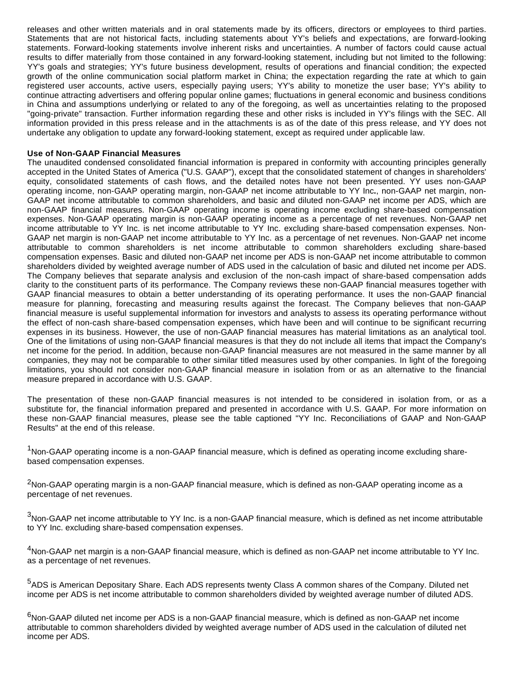releases and other written materials and in oral statements made by its officers, directors or employees to third parties. Statements that are not historical facts, including statements about YY's beliefs and expectations, are forward-looking statements. Forward-looking statements involve inherent risks and uncertainties. A number of factors could cause actual results to differ materially from those contained in any forward-looking statement, including but not limited to the following: YY's goals and strategies; YY's future business development, results of operations and financial condition; the expected growth of the online communication social platform market in China; the expectation regarding the rate at which to gain registered user accounts, active users, especially paying users; YY's ability to monetize the user base; YY's ability to continue attracting advertisers and offering popular online games; fluctuations in general economic and business conditions in China and assumptions underlying or related to any of the foregoing, as well as uncertainties relating to the proposed "going-private" transaction. Further information regarding these and other risks is included in YY's filings with the SEC. All information provided in this press release and in the attachments is as of the date of this press release, and YY does not undertake any obligation to update any forward-looking statement, except as required under applicable law.

# **Use of Non-GAAP Financial Measures**

The unaudited condensed consolidated financial information is prepared in conformity with accounting principles generally accepted in the United States of America ("U.S. GAAP"), except that the consolidated statement of changes in shareholders' equity, consolidated statements of cash flows, and the detailed notes have not been presented. YY uses non-GAAP operating income, non-GAAP operating margin, non-GAAP net income attributable to YY Inc**.**, non-GAAP net margin, non-GAAP net income attributable to common shareholders, and basic and diluted non-GAAP net income per ADS, which are non-GAAP financial measures. Non-GAAP operating income is operating income excluding share-based compensation expenses. Non-GAAP operating margin is non-GAAP operating income as a percentage of net revenues. Non-GAAP net income attributable to YY Inc. is net income attributable to YY Inc. excluding share-based compensation expenses. Non-GAAP net margin is non-GAAP net income attributable to YY Inc. as a percentage of net revenues. Non-GAAP net income attributable to common shareholders is net income attributable to common shareholders excluding share-based compensation expenses. Basic and diluted non-GAAP net income per ADS is non-GAAP net income attributable to common shareholders divided by weighted average number of ADS used in the calculation of basic and diluted net income per ADS. The Company believes that separate analysis and exclusion of the non-cash impact of share-based compensation adds clarity to the constituent parts of its performance. The Company reviews these non-GAAP financial measures together with GAAP financial measures to obtain a better understanding of its operating performance. It uses the non-GAAP financial measure for planning, forecasting and measuring results against the forecast. The Company believes that non-GAAP financial measure is useful supplemental information for investors and analysts to assess its operating performance without the effect of non-cash share-based compensation expenses, which have been and will continue to be significant recurring expenses in its business. However, the use of non-GAAP financial measures has material limitations as an analytical tool. One of the limitations of using non-GAAP financial measures is that they do not include all items that impact the Company's net income for the period. In addition, because non-GAAP financial measures are not measured in the same manner by all companies, they may not be comparable to other similar titled measures used by other companies. In light of the foregoing limitations, you should not consider non-GAAP financial measure in isolation from or as an alternative to the financial measure prepared in accordance with U.S. GAAP.

The presentation of these non-GAAP financial measures is not intended to be considered in isolation from, or as a substitute for, the financial information prepared and presented in accordance with U.S. GAAP. For more information on these non-GAAP financial measures, please see the table captioned "YY Inc. Reconciliations of GAAP and Non-GAAP Results" at the end of this release.

<sup>1</sup>Non-GAAP operating income is a non-GAAP financial measure, which is defined as operating income excluding sharebased compensation expenses.

<sup>2</sup>Non-GAAP operating margin is a non-GAAP financial measure, which is defined as non-GAAP operating income as a percentage of net revenues.

 $3$ Non-GAAP net income attributable to YY Inc. is a non-GAAP financial measure, which is defined as net income attributable to YY Inc. excluding share-based compensation expenses.

<sup>4</sup>Non-GAAP net margin is a non-GAAP financial measure, which is defined as non-GAAP net income attributable to YY Inc. as a percentage of net revenues.

<sup>5</sup>ADS is American Depositary Share. Each ADS represents twenty Class A common shares of the Company. Diluted net income per ADS is net income attributable to common shareholders divided by weighted average number of diluted ADS.

<sup>6</sup>Non-GAAP diluted net income per ADS is a non-GAAP financial measure, which is defined as non-GAAP net income attributable to common shareholders divided by weighted average number of ADS used in the calculation of diluted net income per ADS.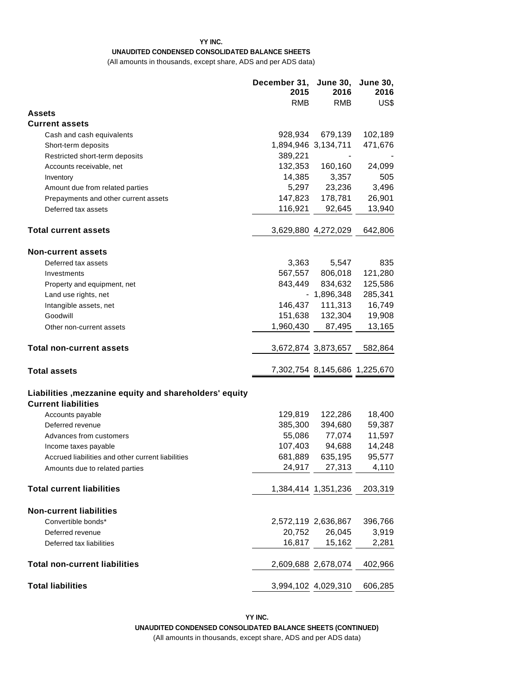#### **YY INC.**

#### **UNAUDITED CONDENSED CONSOLIDATED BALANCE SHEETS**

(All amounts in thousands, except share, ADS and per ADS data)

|                                                                                      | December 31,<br>2015 | <b>June 30,</b><br>2016       | <b>June 30,</b><br>2016 |
|--------------------------------------------------------------------------------------|----------------------|-------------------------------|-------------------------|
|                                                                                      | <b>RMB</b>           | <b>RMB</b>                    | US\$                    |
| Assets                                                                               |                      |                               |                         |
| <b>Current assets</b>                                                                |                      |                               |                         |
| Cash and cash equivalents                                                            | 928,934              | 679,139                       | 102,189                 |
| Short-term deposits                                                                  |                      | 1,894,946 3,134,711           | 471,676                 |
| Restricted short-term deposits                                                       | 389,221<br>132,353   |                               |                         |
| Accounts receivable, net                                                             | 14,385               | 160,160                       | 24,099                  |
| Inventory                                                                            | 5,297                | 3,357<br>23,236               | 505<br>3,496            |
| Amount due from related parties                                                      |                      | 178,781                       |                         |
| Prepayments and other current assets                                                 | 147,823              |                               | 26,901                  |
| Deferred tax assets                                                                  | 116,921              | 92,645                        | 13,940                  |
| <b>Total current assets</b>                                                          |                      | 3,629,880 4,272,029           | 642,806                 |
| <b>Non-current assets</b>                                                            |                      |                               |                         |
| Deferred tax assets                                                                  | 3,363                | 5,547                         | 835                     |
| Investments                                                                          | 567,557              | 806,018                       | 121,280                 |
| Property and equipment, net                                                          | 843,449              | 834,632                       | 125,586                 |
| Land use rights, net                                                                 |                      | $-1,896,348$                  | 285,341                 |
| Intangible assets, net                                                               | 146,437              | 111,313                       | 16,749                  |
| Goodwill                                                                             | 151,638              | 132,304                       | 19,908                  |
| Other non-current assets                                                             | 1,960,430            | 87,495                        | 13,165                  |
| <b>Total non-current assets</b>                                                      |                      | 3,672,874 3,873,657           | 582,864                 |
| <b>Total assets</b>                                                                  |                      | 7,302,754 8,145,686 1,225,670 |                         |
| Liabilities, mezzanine equity and shareholders' equity<br><b>Current liabilities</b> |                      |                               |                         |
| Accounts payable                                                                     | 129,819              | 122,286                       | 18,400                  |
| Deferred revenue                                                                     | 385,300              | 394,680                       | 59,387                  |
| Advances from customers                                                              | 55,086               | 77,074                        | 11,597                  |
| Income taxes payable                                                                 | 107,403              | 94,688                        | 14,248                  |
| Accrued liabilities and other current liabilities                                    | 681,889              | 635,195                       | 95,577                  |
| Amounts due to related parties                                                       | 24,917               | 27,313                        | 4,110                   |
|                                                                                      |                      |                               |                         |
| <b>Total current liabilities</b>                                                     |                      | 1,384,414 1,351,236           | 203,319                 |
| <b>Non-current liabilities</b>                                                       |                      |                               |                         |
| Convertible bonds*                                                                   |                      | 2,572,119 2,636,867           | 396,766                 |
| Deferred revenue                                                                     | 20,752               | 26,045                        | 3,919                   |
| Deferred tax liabilities                                                             | 16,817               | 15,162                        | 2,281                   |
| <b>Total non-current liabilities</b>                                                 |                      | 2,609,688 2,678,074           | 402,966                 |
| <b>Total liabilities</b>                                                             |                      | 3,994,102 4,029,310           | 606,285                 |

**YY INC. UNAUDITED CONDENSED CONSOLIDATED BALANCE SHEETS (CONTINUED)** (All amounts in thousands, except share, ADS and per ADS data)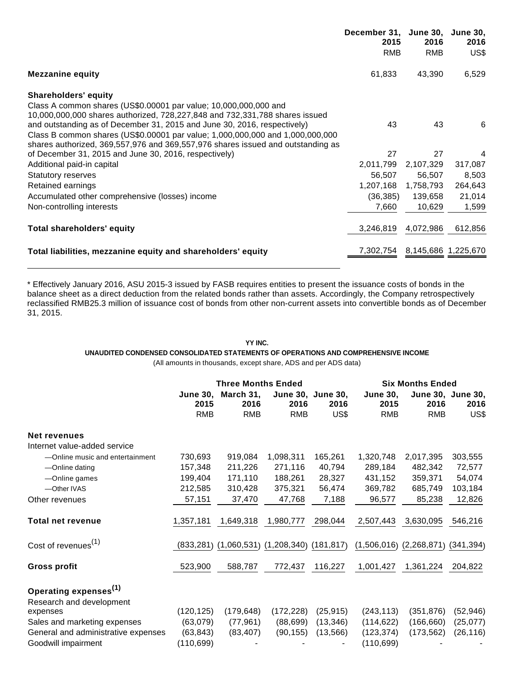|                                                                                                                                                                                                                                                                                                                                                                                                 | December 31, June 30,<br>2015<br><b>RMB</b> | 2016<br><b>RMB</b> | <b>June 30,</b><br>2016<br>US\$ |
|-------------------------------------------------------------------------------------------------------------------------------------------------------------------------------------------------------------------------------------------------------------------------------------------------------------------------------------------------------------------------------------------------|---------------------------------------------|--------------------|---------------------------------|
| <b>Mezzanine equity</b>                                                                                                                                                                                                                                                                                                                                                                         | 61,833                                      | 43,390             | 6,529                           |
| <b>Shareholders' equity</b>                                                                                                                                                                                                                                                                                                                                                                     |                                             |                    |                                 |
| Class A common shares (US\$0.00001 par value; 10,000,000,000 and<br>10,000,000,000 shares authorized, 728,227,848 and 732,331,788 shares issued<br>and outstanding as of December 31, 2015 and June 30, 2016, respectively)<br>Class B common shares (US\$0.00001 par value; 1,000,000,000 and 1,000,000,000<br>shares authorized, 369,557,976 and 369,557,976 shares issued and outstanding as | 43                                          | 43                 | 6                               |
| of December 31, 2015 and June 30, 2016, respectively)                                                                                                                                                                                                                                                                                                                                           | 27                                          | 27                 | 4                               |
| Additional paid-in capital                                                                                                                                                                                                                                                                                                                                                                      | 2,011,799                                   | 2,107,329          | 317,087                         |
| <b>Statutory reserves</b>                                                                                                                                                                                                                                                                                                                                                                       | 56,507                                      | 56,507             | 8,503                           |
| Retained earnings                                                                                                                                                                                                                                                                                                                                                                               | 1,207,168                                   | 1,758,793          | 264,643                         |
| Accumulated other comprehensive (losses) income                                                                                                                                                                                                                                                                                                                                                 | (36,385)                                    | 139,658            | 21,014                          |
| Non-controlling interests                                                                                                                                                                                                                                                                                                                                                                       | 7,660                                       | 10,629             | 1,599                           |
| Total shareholders' equity                                                                                                                                                                                                                                                                                                                                                                      | 3,246,819                                   | 4,072,986          | 612,856                         |
| Total liabilities, mezzanine equity and shareholders' equity                                                                                                                                                                                                                                                                                                                                    | 7,302,754                                   |                    | 8,145,686 1,225,670             |

\* Effectively January 2016, ASU 2015-3 issued by FASB requires entities to present the issuance costs of bonds in the balance sheet as a direct deduction from the related bonds rather than assets. Accordingly, the Company retrospectively reclassified RMB25.3 million of issuance cost of bonds from other non-current assets into convertible bonds as of December 31, 2015.

| YY INC.                                                                            |  |  |  |  |  |  |  |
|------------------------------------------------------------------------------------|--|--|--|--|--|--|--|
| UNAUDITED CONDENSED CONSOLIDATED STATEMENTS OF OPERATIONS AND COMPREHENSIVE INCOME |  |  |  |  |  |  |  |
| (All amounts in thousands, except share, ADS and per ADS data)                     |  |  |  |  |  |  |  |

|                                     |                                       | <b>Three Months Ended</b>       |                                         |                                   | <b>Six Months Ended</b>               |                             |                                   |  |
|-------------------------------------|---------------------------------------|---------------------------------|-----------------------------------------|-----------------------------------|---------------------------------------|-----------------------------|-----------------------------------|--|
|                                     | <b>June 30.</b><br>2015<br><b>RMB</b> | March 31,<br>2016<br><b>RMB</b> | 2016<br><b>RMB</b>                      | June 30, June 30,<br>2016<br>US\$ | <b>June 30,</b><br>2015<br><b>RMB</b> | 2016<br><b>RMB</b>          | June 30, June 30,<br>2016<br>US\$ |  |
| <b>Net revenues</b>                 |                                       |                                 |                                         |                                   |                                       |                             |                                   |  |
| Internet value-added service        |                                       |                                 |                                         |                                   |                                       |                             |                                   |  |
| -Online music and entertainment     | 730,693                               | 919,084                         | 1,098,311                               | 165,261                           | 1,320,748                             | 2,017,395                   | 303,555                           |  |
| -Online dating                      | 157,348                               | 211,226                         | 271,116                                 | 40,794                            | 289,184                               | 482,342                     | 72,577                            |  |
| -Online games                       | 199.404                               | 171,110                         | 188.261                                 | 28,327                            | 431,152                               | 359.371                     | 54.074                            |  |
| -Other IVAS                         | 212,585                               | 310,428                         | 375,321                                 | 56,474                            | 369,782                               | 685,749                     | 103,184                           |  |
| Other revenues                      | 57,151                                | 37,470                          | 47,768                                  | 7,188                             | 96,577                                | 85,238                      | 12,826                            |  |
| <b>Total net revenue</b>            | 1,357,181                             | 1,649,318                       | 1,980,777                               | 298,044                           | 2,507,443                             | 3,630,095                   | 546,216                           |  |
| Cost of revenues <sup>(1)</sup>     | (833, 281)                            |                                 | $(1,060,531)$ $(1,208,340)$ $(181,817)$ |                                   |                                       | $(1,506,016)$ $(2,268,871)$ | (341, 394)                        |  |
| <b>Gross profit</b>                 | 523,900                               | 588,787                         | 772,437                                 | 116,227                           | 1,001,427                             | 1,361,224                   | 204,822                           |  |
| Operating expenses <sup>(1)</sup>   |                                       |                                 |                                         |                                   |                                       |                             |                                   |  |
| Research and development            |                                       |                                 |                                         |                                   |                                       |                             |                                   |  |
| expenses                            | (120, 125)                            | (179, 648)                      | (172, 228)                              | (25, 915)                         | (243, 113)                            | (351, 876)                  | (52, 946)                         |  |
| Sales and marketing expenses        | (63,079)                              | (77, 961)                       | (88, 699)                               | (13, 346)                         | (114, 622)                            | (166, 660)                  | (25,077)                          |  |
| General and administrative expenses | (63, 843)                             | (83, 407)                       | (90, 155)                               | (13, 566)                         | (123, 374)                            | (173, 562)                  | (26, 116)                         |  |
| Goodwill impairment                 | (110,699)                             |                                 |                                         |                                   | (110, 699)                            |                             |                                   |  |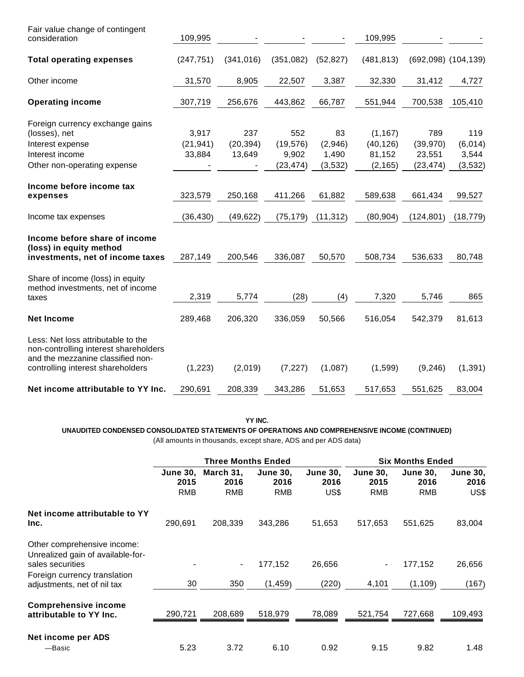| Fair value change of contingent<br>consideration                                                                 | 109,995    |            |            |           | 109,995    |            |                         |
|------------------------------------------------------------------------------------------------------------------|------------|------------|------------|-----------|------------|------------|-------------------------|
|                                                                                                                  |            |            |            |           |            |            |                         |
| <b>Total operating expenses</b>                                                                                  | (247, 751) | (341, 016) | (351, 082) | (52, 827) | (481, 813) |            | $(692,098)$ $(104,139)$ |
| Other income                                                                                                     | 31,570     | 8,905      | 22,507     | 3,387     | 32,330     | 31,412     | 4,727                   |
| <b>Operating income</b>                                                                                          | 307,719    | 256,676    | 443,862    | 66,787    | 551,944    | 700,538    | 105,410                 |
| Foreign currency exchange gains                                                                                  |            |            |            |           |            |            |                         |
| (losses), net                                                                                                    | 3,917      | 237        | 552        | 83        | (1, 167)   | 789        | 119                     |
| Interest expense                                                                                                 | (21, 941)  | (20, 394)  | (19, 576)  | (2,946)   | (40, 126)  | (39, 970)  | (6, 014)                |
| Interest income                                                                                                  | 33,884     | 13,649     | 9,902      | 1,490     | 81,152     | 23,551     | 3,544                   |
| Other non-operating expense                                                                                      |            |            | (23, 474)  | (3, 532)  | (2, 165)   | (23, 474)  | (3, 532)                |
| Income before income tax                                                                                         |            |            |            |           |            |            |                         |
| expenses                                                                                                         | 323,579    | 250,168    | 411,266    | 61,882    | 589,638    | 661,434    | 99,527                  |
| Income tax expenses                                                                                              | (36, 430)  | (49, 622)  | (75, 179)  | (11, 312) | (80, 904)  | (124, 801) | (18, 779)               |
| Income before share of income                                                                                    |            |            |            |           |            |            |                         |
| (loss) in equity method<br>investments, net of income taxes                                                      | 287,149    | 200,546    | 336,087    | 50,570    | 508,734    | 536,633    | 80,748                  |
|                                                                                                                  |            |            |            |           |            |            |                         |
| Share of income (loss) in equity<br>method investments, net of income                                            |            |            |            |           |            |            |                         |
| taxes                                                                                                            | 2,319      | 5,774      | (28)       | (4)       | 7,320      | 5,746      | 865                     |
| <b>Net Income</b>                                                                                                | 289,468    | 206,320    | 336,059    | 50,566    | 516,054    | 542,379    | 81,613                  |
| Less: Net loss attributable to the<br>non-controlling interest shareholders<br>and the mezzanine classified non- |            |            |            |           |            |            |                         |
| controlling interest shareholders                                                                                | (1, 223)   | (2,019)    | (7, 227)   | (1,087)   | (1,599)    | (9, 246)   | (1, 391)                |
| Net income attributable to YY Inc.                                                                               | 290,691    | 208,339    | 343,286    | 51,653    | 517,653    | 551,625    | 83,004                  |

# **YY INC.**

**UNAUDITED CONDENSED CONSOLIDATED STATEMENTS OF OPERATIONS AND COMPREHENSIVE INCOME (CONTINUED)** (All amounts in thousands, except share, ADS and per ADS data)

|                                                                  | <b>Three Months Ended</b> |                   |                         |                         | <b>Six Months Ended</b> |                         |                         |
|------------------------------------------------------------------|---------------------------|-------------------|-------------------------|-------------------------|-------------------------|-------------------------|-------------------------|
|                                                                  | <b>June 30,</b><br>2015   | March 31,<br>2016 | <b>June 30,</b><br>2016 | <b>June 30,</b><br>2016 | <b>June 30,</b><br>2015 | <b>June 30,</b><br>2016 | <b>June 30,</b><br>2016 |
|                                                                  | <b>RMB</b>                | <b>RMB</b>        | <b>RMB</b>              | US\$                    | <b>RMB</b>              | <b>RMB</b>              | US\$                    |
| Net income attributable to YY<br>Inc.                            | 290,691                   | 208,339           | 343,286                 | 51,653                  | 517,653                 | 551,625                 | 83,004                  |
| Other comprehensive income:<br>Unrealized gain of available-for- |                           |                   |                         |                         |                         |                         |                         |
| sales securities<br>Foreign currency translation                 |                           | $\blacksquare$    | 177,152                 | 26,656                  | $\blacksquare$          | 177,152                 | 26,656                  |
| adjustments, net of nil tax                                      | 30                        | 350               | (1, 459)                | (220)                   | 4,101                   | (1, 109)                | (167)                   |
| <b>Comprehensive income</b><br>attributable to YY Inc.           | 290,721                   | 208,689           | 518,979                 | 78,089                  | 521,754                 | 727,668                 | 109,493                 |
| Net income per ADS                                               |                           |                   |                         |                         |                         |                         |                         |
| -Basic                                                           | 5.23                      | 3.72              | 6.10                    | 0.92                    | 9.15                    | 9.82                    | 1.48                    |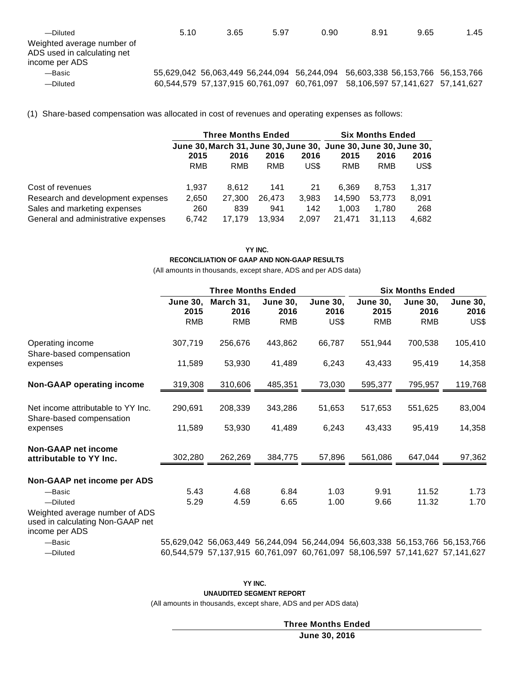| -Diluted                                                  | 5.10 | 3.65 | 5.97 | 0.90 | 8.91                                                                         | 1.45<br>9.65 |
|-----------------------------------------------------------|------|------|------|------|------------------------------------------------------------------------------|--------------|
| Weighted average number of<br>ADS used in calculating net |      |      |      |      |                                                                              |              |
| income per ADS                                            |      |      |      |      |                                                                              |              |
| —Basic                                                    |      |      |      |      | 55,629,042 56,063,449 56,244,094 56,244,094 56,603,338 56,153,766 56,153,766 |              |
| -Diluted                                                  |      |      |      |      | 60,544,579 57,137,915 60,761,097 60,761,097 58,106,597 57,141,627 57,141,627 |              |

(1) Share-based compensation was allocated in cost of revenues and operating expenses as follows:

|                                     |                                                                 | <b>Three Months Ended</b> |        | <b>Six Months Ended</b> |            |        |       |  |
|-------------------------------------|-----------------------------------------------------------------|---------------------------|--------|-------------------------|------------|--------|-------|--|
|                                     | June 30, March 31, June 30, June 30, June 30, June 30, June 30, |                           |        |                         |            |        |       |  |
|                                     | 2015                                                            | 2016                      | 2016   | 2016                    | 2015       | 2016   | 2016  |  |
|                                     | RMB                                                             | RMB                       | RMB    | US\$                    | <b>RMB</b> | RMB    | US\$  |  |
| Cost of revenues                    | 1.937                                                           | 8.612                     | 141    | 21                      | 6.369      | 8.753  | 1.317 |  |
| Research and development expenses   | 2,650                                                           | 27.300                    | 26.473 | 3,983                   | 14.590     | 53,773 | 8,091 |  |
| Sales and marketing expenses        | 260                                                             | 839                       | 941    | 142                     | 1.003      | 1.780  | 268   |  |
| General and administrative expenses | 6.742                                                           | 17.179                    | 13.934 | 2.097                   | 21.471     | 31.113 | 4,682 |  |

**YY INC. RECONCILIATION OF GAAP AND NON-GAAP RESULTS**

(All amounts in thousands, except share, ADS and per ADS data)

|                                                                                      |                         |                   | <b>Three Months Ended</b> |                                                                              | <b>Six Months Ended</b> |                         |                                                                              |  |
|--------------------------------------------------------------------------------------|-------------------------|-------------------|---------------------------|------------------------------------------------------------------------------|-------------------------|-------------------------|------------------------------------------------------------------------------|--|
|                                                                                      | <b>June 30,</b><br>2015 | March 31,<br>2016 | <b>June 30,</b><br>2016   | <b>June 30,</b><br>2016                                                      | <b>June 30,</b><br>2015 | <b>June 30,</b><br>2016 | <b>June 30,</b><br>2016                                                      |  |
|                                                                                      | <b>RMB</b>              | <b>RMB</b>        | <b>RMB</b>                | US\$                                                                         | <b>RMB</b>              | <b>RMB</b>              | US\$                                                                         |  |
| Operating income<br>Share-based compensation                                         | 307,719                 | 256,676           | 443,862                   | 66,787                                                                       | 551,944                 | 700,538                 | 105,410                                                                      |  |
| expenses                                                                             | 11,589                  | 53,930            | 41,489                    | 6,243                                                                        | 43,433                  | 95,419                  | 14,358                                                                       |  |
| <b>Non-GAAP operating income</b>                                                     | 319,308                 | 310,606           | 485,351                   | 73,030                                                                       | 595,377                 | 795,957                 | 119,768                                                                      |  |
| Net income attributable to YY Inc.                                                   | 290,691                 | 208,339           | 343,286                   | 51,653                                                                       | 517,653                 | 551,625                 | 83,004                                                                       |  |
| Share-based compensation<br>expenses                                                 | 11,589                  | 53,930            | 41,489                    | 6,243                                                                        | 43,433                  | 95,419                  | 14,358                                                                       |  |
| <b>Non-GAAP net income</b><br>attributable to YY Inc.                                | 302,280                 | 262,269           | 384,775                   | 57,896                                                                       | 561,086                 | 647,044                 | 97,362                                                                       |  |
| Non-GAAP net income per ADS                                                          |                         |                   |                           |                                                                              |                         |                         |                                                                              |  |
| -Basic                                                                               | 5.43                    | 4.68              | 6.84                      | 1.03                                                                         | 9.91                    | 11.52                   | 1.73                                                                         |  |
| -Diluted                                                                             | 5.29                    | 4.59              | 6.65                      | 1.00                                                                         | 9.66                    | 11.32                   | 1.70                                                                         |  |
| Weighted average number of ADS<br>used in calculating Non-GAAP net<br>income per ADS |                         |                   |                           |                                                                              |                         |                         |                                                                              |  |
| -Basic                                                                               |                         |                   |                           |                                                                              |                         |                         | 55,629,042 56,063,449 56,244,094 56,244,094 56,603,338 56,153,766 56,153,766 |  |
| -Diluted                                                                             |                         |                   |                           | 60,544,579 57,137,915 60,761,097 60,761,097 58,106,597 57,141,627 57,141,627 |                         |                         |                                                                              |  |

**UNAUDITED SEGMENT REPORT**

(All amounts in thousands, except share, ADS and per ADS data)

**Three Months Ended**

**June 30, 2016**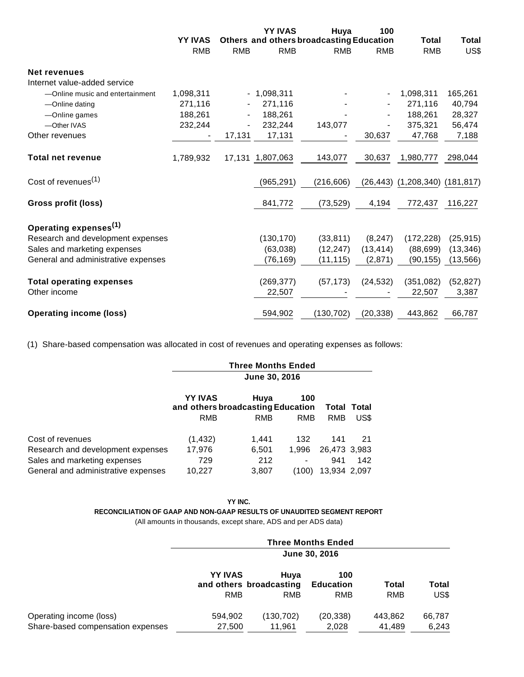|                                     |                |                | <b>YY IVAS</b>   | Huya                                     | 100                      |                           |           |
|-------------------------------------|----------------|----------------|------------------|------------------------------------------|--------------------------|---------------------------|-----------|
|                                     | <b>YY IVAS</b> |                |                  | Others and others broadcasting Education |                          | <b>Total</b>              | Total     |
|                                     | <b>RMB</b>     | <b>RMB</b>     | <b>RMB</b>       | <b>RMB</b>                               | <b>RMB</b>               | <b>RMB</b>                | US\$      |
| <b>Net revenues</b>                 |                |                |                  |                                          |                          |                           |           |
| Internet value-added service        |                |                |                  |                                          |                          |                           |           |
| -Online music and entertainment     | 1,098,311      |                | $-1,098,311$     |                                          |                          | 1,098,311                 | 165,261   |
| -Online dating                      | 271,116        |                | 271,116          |                                          |                          | 271,116                   | 40,794    |
| -Online games                       | 188,261        | $\blacksquare$ | 188,261          |                                          | $\overline{\phantom{a}}$ | 188,261                   | 28,327    |
| -Other IVAS                         | 232,244        |                | 232,244          | 143,077                                  |                          | 375,321                   | 56,474    |
| Other revenues                      |                | 17,131         | 17,131           |                                          | 30,637                   | 47,768                    | 7,188     |
| <b>Total net revenue</b>            | 1,789,932      |                | 17,131 1,807,063 | 143,077                                  | 30,637                   | 1,980,777                 | 298,044   |
| Cost of revenues <sup>(1)</sup>     |                |                | (965, 291)       | (216, 606)                               | (26, 443)                | $(1,208,340)$ $(181,817)$ |           |
| Gross profit (loss)                 |                |                | 841,772          | (73, 529)                                | 4,194                    | 772,437                   | 116,227   |
| Operating expenses <sup>(1)</sup>   |                |                |                  |                                          |                          |                           |           |
| Research and development expenses   |                |                | (130, 170)       | (33, 811)                                | (8, 247)                 | (172, 228)                | (25, 915) |
| Sales and marketing expenses        |                |                | (63,038)         | (12, 247)                                | (13, 414)                | (88, 699)                 | (13, 346) |
| General and administrative expenses |                |                | (76, 169)        | (11, 115)                                | (2,871)                  | (90, 155)                 | (13, 566) |
| <b>Total operating expenses</b>     |                |                | (269, 377)       | (57, 173)                                | (24, 532)                | (351,082)                 | (52, 827) |
| Other income                        |                |                | 22,507           |                                          |                          | 22,507                    | 3,387     |
| <b>Operating income (loss)</b>      |                |                | 594,902          | (130, 702)                               | (20, 338)                | 443,862                   | 66,787    |

(1) Share-based compensation was allocated in cost of revenues and operating expenses as follows:

|                                     | <b>Three Months Ended</b>                           |            |            |              |                    |  |
|-------------------------------------|-----------------------------------------------------|------------|------------|--------------|--------------------|--|
|                                     | June 30, 2016                                       |            |            |              |                    |  |
|                                     | <b>YY IVAS</b><br>and others broadcasting Education | Huya       | 100        |              | <b>Total Total</b> |  |
|                                     | <b>RMB</b>                                          | <b>RMB</b> | <b>RMB</b> | <b>RMB</b>   | US\$               |  |
| Cost of revenues                    | (1, 432)                                            | 1,441      | 132        | 141          | 21                 |  |
| Research and development expenses   | 17,976                                              | 6,501      | 1.996      | 26,473 3,983 |                    |  |
| Sales and marketing expenses        | 729                                                 | 212        |            | 941          | 142                |  |
| General and administrative expenses | 10,227                                              | 3,807      | (100)      | 13,934 2,097 |                    |  |

# **YY INC.**

**RECONCILIATION OF GAAP AND NON-GAAP RESULTS OF UNAUDITED SEGMENT REPORT**

(All amounts in thousands, except share, ADS and per ADS data)

|                                                              | <b>Three Months Ended</b><br>June 30, 2016 |                                 |                         |                   |                 |
|--------------------------------------------------------------|--------------------------------------------|---------------------------------|-------------------------|-------------------|-----------------|
|                                                              | <b>YY IVAS</b>                             | Huva<br>and others broadcasting | 100<br><b>Education</b> | Total             | Total           |
|                                                              | RMB                                        | RMB                             | RMB                     | <b>RMB</b>        | US\$            |
| Operating income (loss)<br>Share-based compensation expenses | 594,902<br>27,500                          | (130, 702)<br>11.961            | (20, 338)<br>2.028      | 443,862<br>41.489 | 66,787<br>6.243 |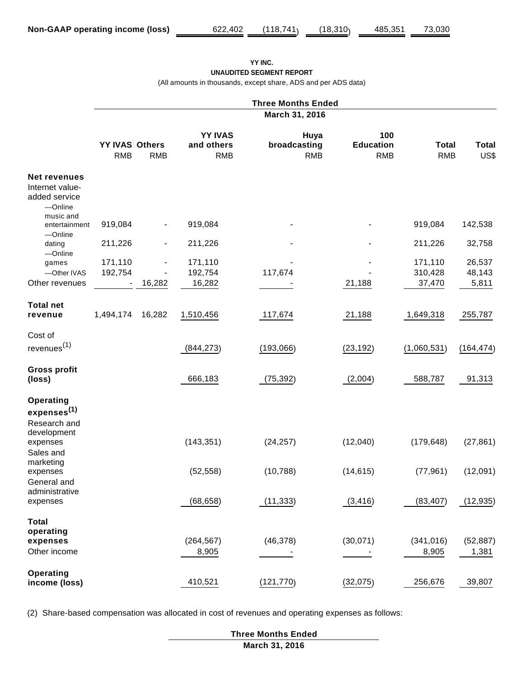# **YY INC. UNAUDITED SEGMENT REPORT**

(All amounts in thousands, except share, ADS and per ADS data)

|                                                                            |                                     |            |                                            | <b>Three Months Ended</b><br>March 31, 2016 |                                       |                              |                           |
|----------------------------------------------------------------------------|-------------------------------------|------------|--------------------------------------------|---------------------------------------------|---------------------------------------|------------------------------|---------------------------|
|                                                                            | <b>YY IVAS Others</b><br><b>RMB</b> | <b>RMB</b> | <b>YY IVAS</b><br>and others<br><b>RMB</b> | Huya<br>broadcasting<br><b>RMB</b>          | 100<br><b>Education</b><br><b>RMB</b> | <b>Total</b><br><b>RMB</b>   | <b>Total</b><br>US\$      |
| <b>Net revenues</b><br>Internet value-<br>added service<br>$-$ Online      |                                     |            |                                            |                                             |                                       |                              |                           |
| music and<br>entertainment                                                 | 919,084                             |            | 919,084                                    |                                             |                                       | 919,084                      | 142,538                   |
| $-$ Online<br>dating                                                       | 211,226                             |            | 211,226                                    |                                             |                                       | 211,226                      | 32,758                    |
| -Online<br>games<br>-Other IVAS<br>Other revenues                          | 171,110<br>192,754                  | 16,282     | 171,110<br>192,754<br>16,282               | 117,674                                     | 21,188                                | 171,110<br>310,428<br>37,470 | 26,537<br>48,143<br>5,811 |
| <b>Total net</b><br>revenue                                                | 1,494,174                           | 16,282     | 1,510,456                                  | 117,674                                     | 21,188                                | 1,649,318                    | 255,787                   |
| Cost of<br>revenues <sup>(1)</sup>                                         |                                     |            | (844, 273)                                 | (193,066)                                   | (23, 192)                             | (1,060,531)                  | (164, 474)                |
| <b>Gross profit</b><br>(loss)                                              |                                     |            | 666,183                                    | (75, 392)                                   | (2,004)                               | 588,787                      | 91,313                    |
| <b>Operating</b><br>expenses <sup>(1)</sup><br>Research and<br>development |                                     |            |                                            |                                             |                                       |                              |                           |
| expenses<br>Sales and                                                      |                                     |            | (143, 351)                                 | (24, 257)                                   | (12,040)                              | (179, 648)                   | (27, 861)                 |
| marketing<br>expenses<br>General and                                       |                                     |            | (52, 558)                                  | (10, 788)                                   | (14, 615)                             | (77, 961)                    | (12,091)                  |
| administrative<br>expenses                                                 |                                     |            | (68, 658)                                  | (11, 333)                                   | (3, 416)                              | (83, 407)                    | (12, 935)                 |
| <b>Total</b><br>operating<br>expenses<br>Other income                      |                                     |            | (264, 567)<br>8,905                        | (46, 378)                                   | (30,071)                              | (341, 016)<br>8,905          | (52, 887)<br>1,381        |
| <b>Operating</b><br>income (loss)                                          |                                     |            | 410,521                                    | (121, 770)                                  | (32,075)                              | 256,676                      | 39,807                    |

(2) Share-based compensation was allocated in cost of revenues and operating expenses as follows:

| <b>Three Months Ended</b> |  |
|---------------------------|--|
| March 31, 2016            |  |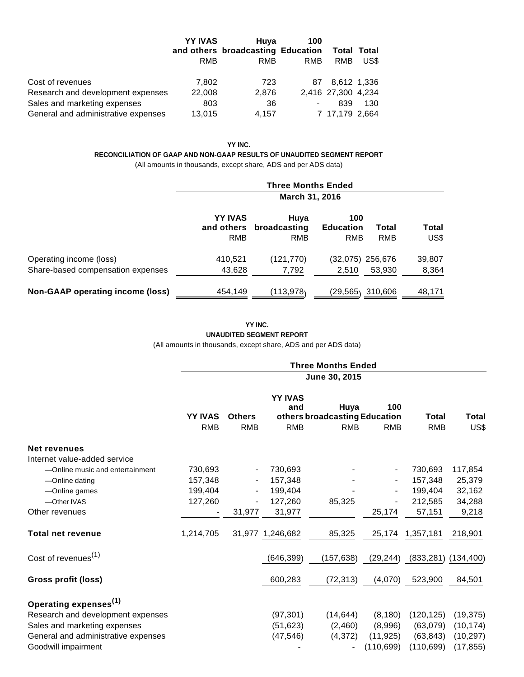|                                     | <b>YY IVAS</b><br><b>RMB</b> | Huya<br>and others broadcasting Education<br><b>RMB</b> | 100<br><b>RMB</b> | <b>RMB</b>         | <b>Total Total</b><br>US\$ |
|-------------------------------------|------------------------------|---------------------------------------------------------|-------------------|--------------------|----------------------------|
| Cost of revenues                    | 7,802                        | 723                                                     | 87                | 8,612 1,336        |                            |
| Research and development expenses   | 22,008                       | 2,876                                                   |                   | 2,416 27,300 4,234 |                            |
| Sales and marketing expenses        | 803                          | 36                                                      |                   | 839                | 130                        |
| General and administrative expenses | 13,015                       | 4,157                                                   |                   | 7 17,179 2,664     |                            |

# **YY INC.**

# **RECONCILIATION OF GAAP AND NON-GAAP RESULTS OF UNAUDITED SEGMENT REPORT**

(All amounts in thousands, except share, ADS and per ADS data)

|                                                              | <b>Three Months Ended</b><br><b>March 31, 2016</b> |                                    |                                       |                     |                 |  |
|--------------------------------------------------------------|----------------------------------------------------|------------------------------------|---------------------------------------|---------------------|-----------------|--|
|                                                              | <b>YY IVAS</b><br>and others<br><b>RMB</b>         | Huya<br>broadcasting<br><b>RMB</b> | 100<br><b>Education</b><br><b>RMB</b> | Total<br><b>RMB</b> | Total<br>US\$   |  |
| Operating income (loss)<br>Share-based compensation expenses | 410,521<br>43,628                                  | (121, 770)<br>7,792                | (32,075) 256,676<br>2,510             | 53,930              | 39,807<br>8,364 |  |
| Non-GAAP operating income (loss)                             | 454,149                                            | (113,978)                          | (29,565)                              | 310.606             | 48,171          |  |

**UNAUDITED SEGMENT REPORT**

(All amounts in thousands, except share, ADS and per ADS data)

|                                     |                |               |                  | <b>Three Months Ended</b>     |            |                  |            |
|-------------------------------------|----------------|---------------|------------------|-------------------------------|------------|------------------|------------|
|                                     |                |               |                  | June 30, 2015                 |            |                  |            |
|                                     |                |               | <b>YY IVAS</b>   |                               |            |                  |            |
|                                     |                |               | and              | Huya                          | 100        |                  |            |
|                                     | <b>YY IVAS</b> | <b>Others</b> |                  | others broadcasting Education |            | <b>Total</b>     | Total      |
|                                     | <b>RMB</b>     | <b>RMB</b>    | <b>RMB</b>       | <b>RMB</b>                    | <b>RMB</b> | <b>RMB</b>       | US\$       |
| <b>Net revenues</b>                 |                |               |                  |                               |            |                  |            |
| Internet value-added service        |                |               |                  |                               |            |                  |            |
| -Online music and entertainment     | 730,693        |               | 730,693          |                               |            | 730,693          | 117,854    |
| -Online dating                      | 157,348        |               | 157,348          |                               |            | 157,348          | 25,379     |
| -Online games                       | 199,404        | -             | 199,404          |                               |            | 199,404          | 32,162     |
| -Other IVAS                         | 127,260        |               | 127,260          | 85,325                        |            | 212.585          | 34,288     |
| Other revenues                      |                | 31,977        | 31,977           |                               | 25,174     | 57,151           | 9,218      |
| <b>Total net revenue</b>            | 1,214,705      |               | 31,977 1,246,682 | 85,325                        |            | 25,174 1,357,181 | 218,901    |
| Cost of revenues <sup>(1)</sup>     |                |               | (646, 399)       | (157,638)                     | (29, 244)  | (833, 281)       | (134, 400) |
| Gross profit (loss)                 |                |               | 600,283          | (72, 313)                     | (4,070)    | 523,900          | 84,501     |
| Operating expenses <sup>(1)</sup>   |                |               |                  |                               |            |                  |            |
| Research and development expenses   |                |               | (97, 301)        | (14, 644)                     | (8, 180)   | (120, 125)       | (19, 375)  |
| Sales and marketing expenses        |                |               | (51, 623)        | (2,460)                       | (8,996)    | (63,079)         | (10, 174)  |
| General and administrative expenses |                |               | (47, 546)        | (4, 372)                      | (11, 925)  | (63, 843)        | (10, 297)  |
| Goodwill impairment                 |                |               |                  |                               | (110, 699) | (110,699)        | (17, 855)  |